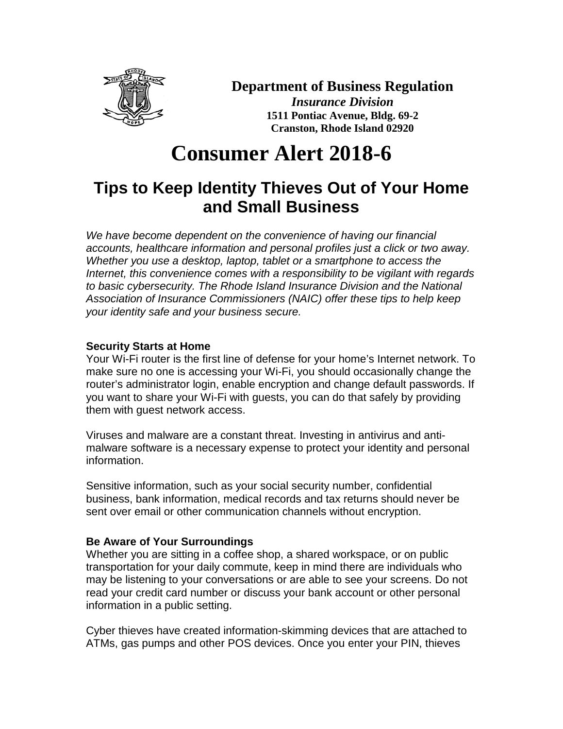

### **Department of Business Regulation**

*Insurance Division* **1511 Pontiac Avenue, Bldg. 69-2 Cranston, Rhode Island 02920**

# **Consumer Alert 2018-6**

## **Tips to Keep Identity Thieves Out of Your Home and Small Business**

*We have become dependent on the convenience of having our financial accounts, healthcare information and personal profiles just a click or two away. Whether you use a desktop, laptop, tablet or a smartphone to access the Internet, this convenience comes with a responsibility to be vigilant with regards to basic cybersecurity. The Rhode Island Insurance Division and the National Association of Insurance Commissioners (NAIC) offer these tips to help keep your identity safe and your business secure.*

#### **Security Starts at Home**

Your Wi-Fi router is the first line of defense for your home's Internet network. To make sure no one is accessing your Wi-Fi, you should occasionally change the router's administrator login, enable encryption and change default passwords. If you want to share your Wi-Fi with guests, you can do that safely by providing them with guest network access.

Viruses and malware are a constant threat. Investing in antivirus and antimalware software is a necessary expense to protect your identity and personal information.

Sensitive information, such as your social security number, confidential business, bank information, medical records and tax returns should never be sent over email or other communication channels without encryption.

#### **Be Aware of Your Surroundings**

Whether you are sitting in a coffee shop, a shared workspace, or on public transportation for your daily commute, keep in mind there are individuals who may be listening to your conversations or are able to see your screens. Do not read your credit card number or discuss your bank account or other personal information in a public setting.

Cyber thieves have created information-skimming devices that are attached to ATMs, gas pumps and other POS devices. Once you enter your PIN, thieves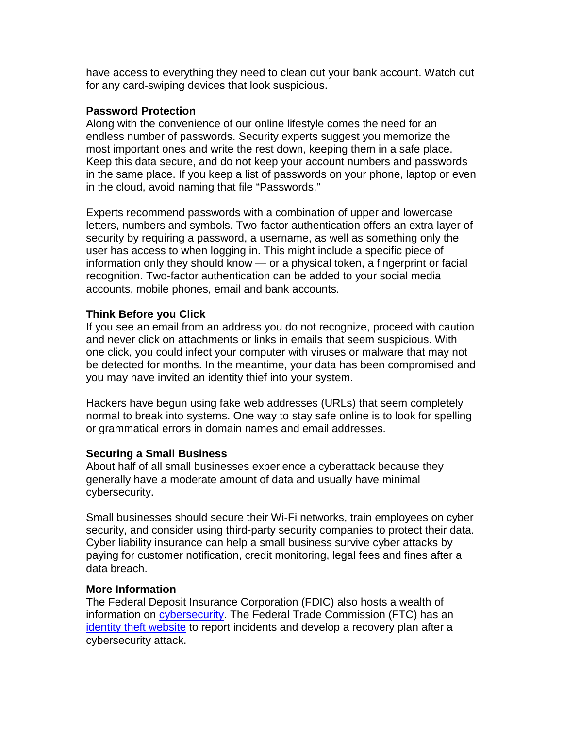have access to everything they need to clean out your bank account. Watch out for any card-swiping devices that look suspicious.

#### **Password Protection**

Along with the convenience of our online lifestyle comes the need for an endless number of passwords. Security experts suggest you memorize the most important ones and write the rest down, keeping them in a safe place. Keep this data secure, and do not keep your account numbers and passwords in the same place. If you keep a list of passwords on your phone, laptop or even in the cloud, avoid naming that file "Passwords."

Experts recommend passwords with a combination of upper and lowercase letters, numbers and symbols. Two-factor authentication offers an extra layer of security by requiring a password, a username, as well as something only the user has access to when logging in. This might include a specific piece of information only they should know — or a physical token, a fingerprint or facial recognition. Two-factor authentication can be added to your social media accounts, mobile phones, email and bank accounts.

#### **Think Before you Click**

If you see an email from an address you do not recognize, proceed with caution and never click on attachments or links in emails that seem suspicious. With one click, you could infect your computer with viruses or malware that may not be detected for months. In the meantime, your data has been compromised and you may have invited an identity thief into your system.

Hackers have begun using fake web addresses (URLs) that seem completely normal to break into systems. One way to stay safe online is to look for spelling or grammatical errors in domain names and email addresses.

#### **Securing a Small Business**

About half of all small businesses experience a cyberattack because they generally have a moderate amount of data and usually have minimal cybersecurity.

Small businesses should secure their Wi-Fi networks, train employees on cyber security, and consider using third-party security companies to protect their data. Cyber liability insurance can help a small business survive cyber attacks by paying for customer notification, credit monitoring, legal fees and fines after a data breach.

#### **More Information**

The Federal Deposit Insurance Corporation (FDIC) also hosts a wealth of information on [cybersecurity.](https://www.fdic.gov/consumers/consumer/news/cnwin16/?source=govdelivery&utm_medium=email&utm_source=govdelivery) The Federal Trade Commission (FTC) has an [identity theft website](http://www.identitytheft.gov/) to report incidents and develop a recovery plan after a cybersecurity attack.